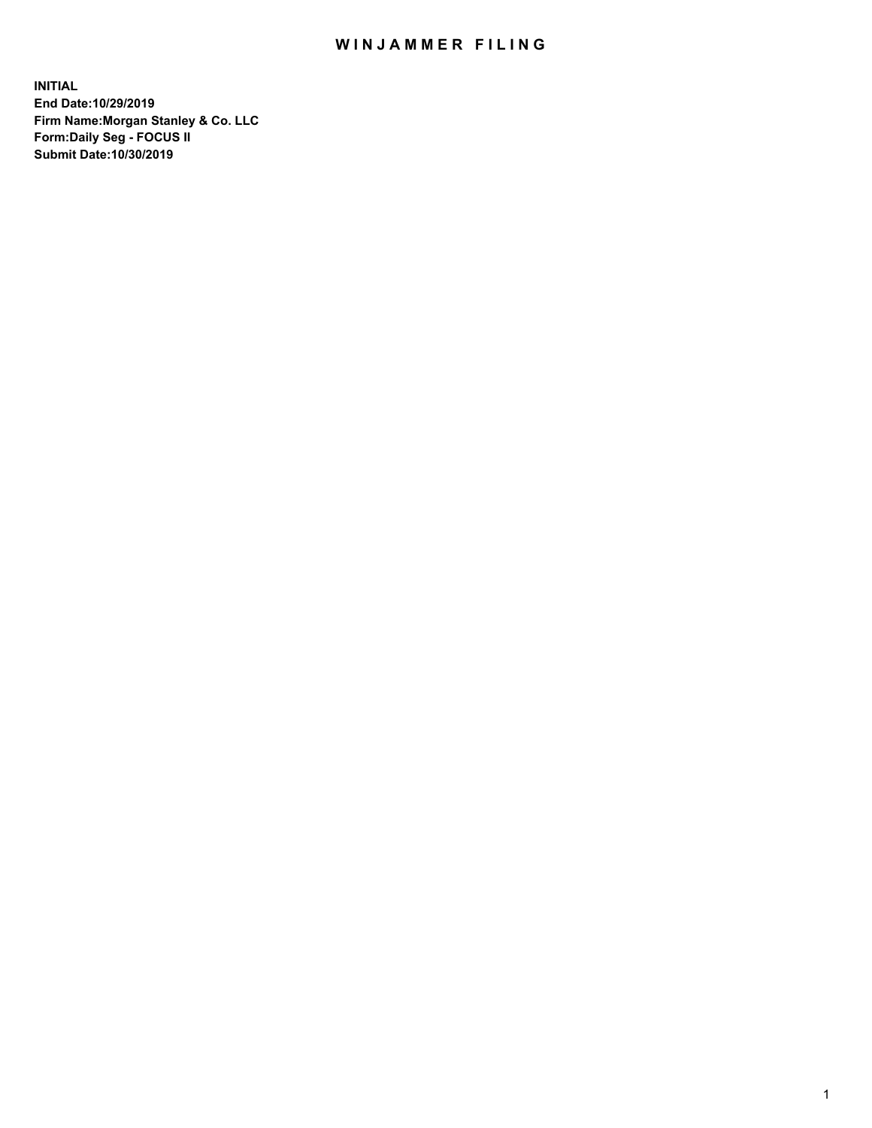## WIN JAMMER FILING

**INITIAL End Date:10/29/2019 Firm Name:Morgan Stanley & Co. LLC Form:Daily Seg - FOCUS II Submit Date:10/30/2019**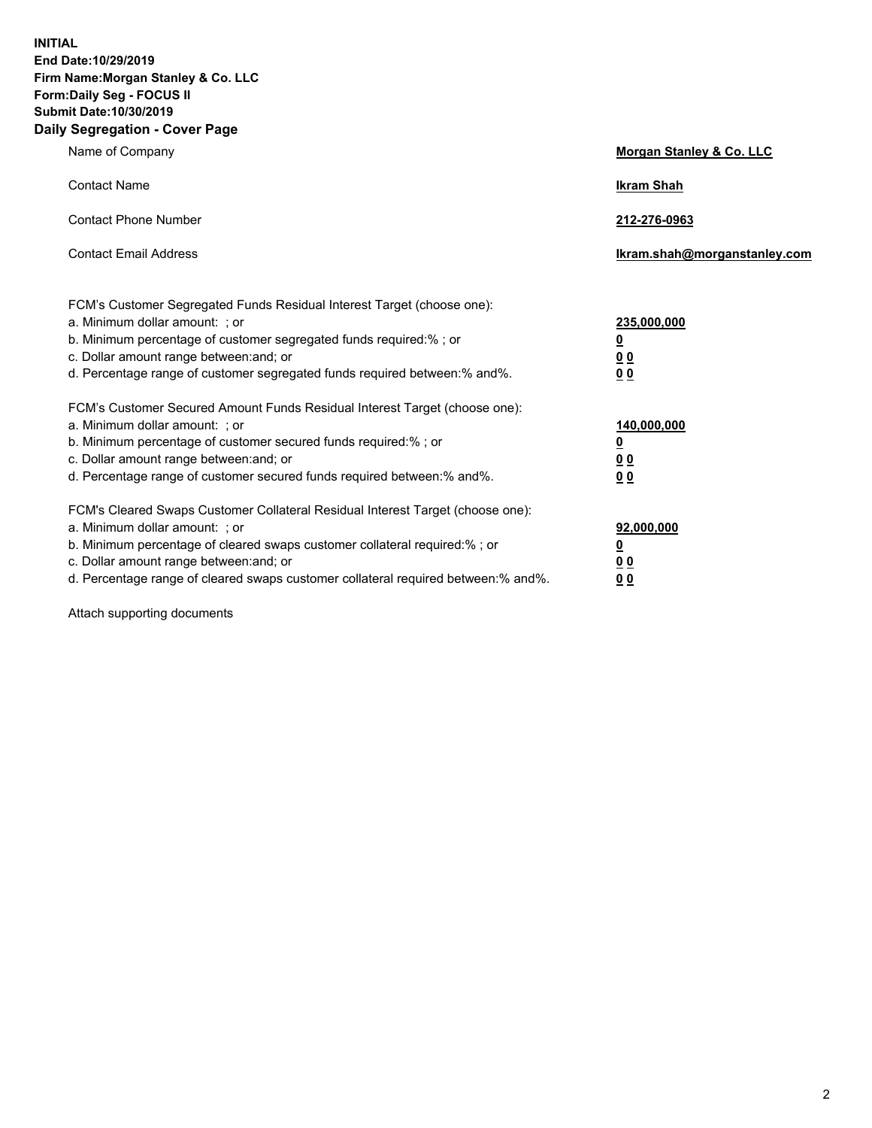**INITIAL End Date:10/29/2019 Firm Name:Morgan Stanley & Co. LLC Form:Daily Seg - FOCUS II Submit Date:10/30/2019 Daily Segregation - Cover Page**

| Name of Company                                                                   | Morgan Stanley & Co. LLC     |
|-----------------------------------------------------------------------------------|------------------------------|
| <b>Contact Name</b>                                                               | <b>Ikram Shah</b>            |
| <b>Contact Phone Number</b>                                                       | 212-276-0963                 |
| <b>Contact Email Address</b>                                                      | Ikram.shah@morganstanley.com |
| FCM's Customer Segregated Funds Residual Interest Target (choose one):            |                              |
| a. Minimum dollar amount: ; or                                                    | 235,000,000                  |
| b. Minimum percentage of customer segregated funds required:% ; or                | <u>0</u>                     |
| c. Dollar amount range between: and; or                                           | 0 <sub>0</sub>               |
| d. Percentage range of customer segregated funds required between: % and %.       | 0 <sub>0</sub>               |
| FCM's Customer Secured Amount Funds Residual Interest Target (choose one):        |                              |
| a. Minimum dollar amount: ; or                                                    | 140,000,000                  |
| b. Minimum percentage of customer secured funds required:%; or                    | <u>0</u>                     |
| c. Dollar amount range between: and; or                                           | <u>00</u>                    |
| d. Percentage range of customer secured funds required between:% and%.            | 0 <sub>0</sub>               |
| FCM's Cleared Swaps Customer Collateral Residual Interest Target (choose one):    |                              |
| a. Minimum dollar amount: ; or                                                    | 92,000,000                   |
| b. Minimum percentage of cleared swaps customer collateral required:% ; or        | <u>0</u>                     |
| c. Dollar amount range between: and; or                                           | <u>00</u>                    |
| d. Percentage range of cleared swaps customer collateral required between:% and%. | 00                           |

Attach supporting documents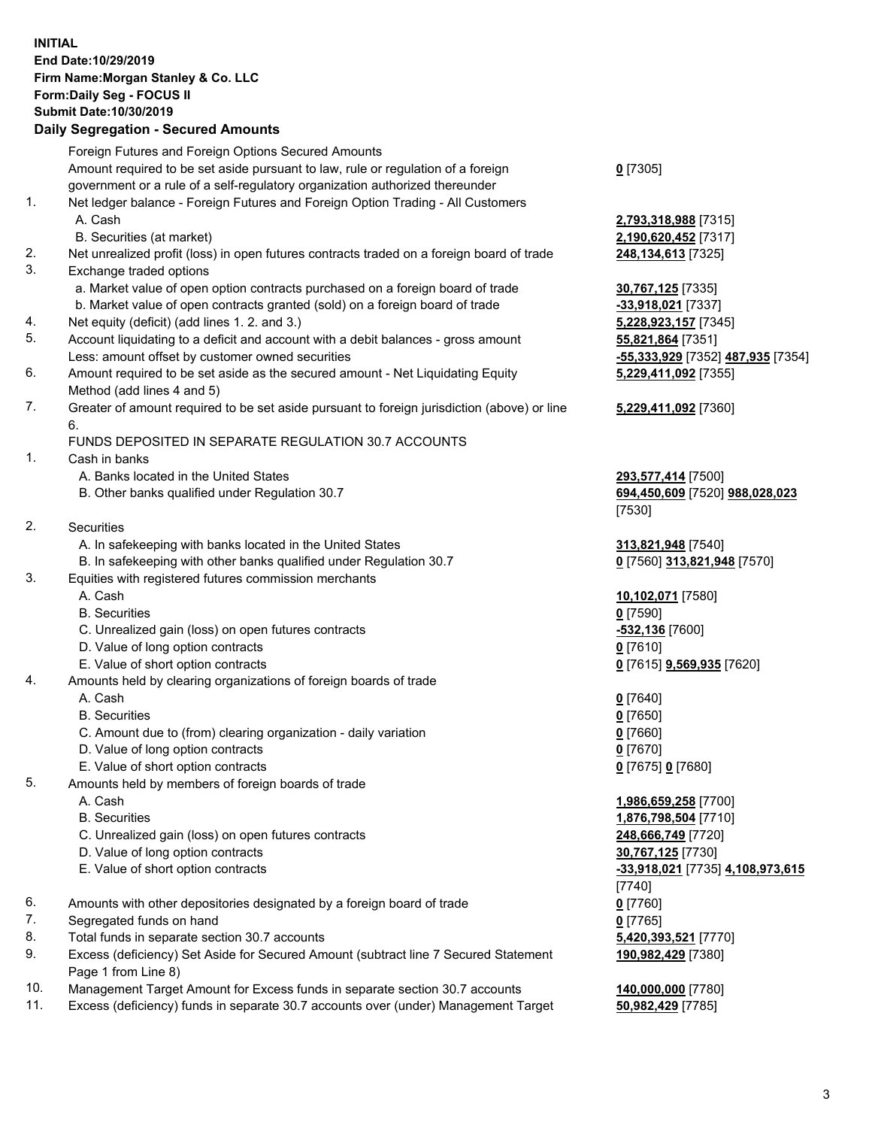## **INITIAL End Date:10/29/2019 Firm Name:Morgan Stanley & Co. LLC Form:Daily Seg - FOCUS II Submit Date:10/30/2019**

## **Daily Segregation - Secured Amounts**

|          | Foreign Futures and Foreign Options Secured Amounts                                                                  |                                                |
|----------|----------------------------------------------------------------------------------------------------------------------|------------------------------------------------|
|          | Amount required to be set aside pursuant to law, rule or regulation of a foreign                                     | $0$ [7305]                                     |
|          | government or a rule of a self-regulatory organization authorized thereunder                                         |                                                |
| 1.       | Net ledger balance - Foreign Futures and Foreign Option Trading - All Customers                                      |                                                |
|          | A. Cash                                                                                                              | 2,793,318,988 [7315]                           |
|          | B. Securities (at market)                                                                                            | 2,190,620,452 [7317]                           |
| 2.<br>3. | Net unrealized profit (loss) in open futures contracts traded on a foreign board of trade<br>Exchange traded options | 248,134,613 [7325]                             |
|          | a. Market value of open option contracts purchased on a foreign board of trade                                       | 30,767,125 [7335]                              |
|          | b. Market value of open contracts granted (sold) on a foreign board of trade                                         | -33,918,021 [7337]                             |
| 4.       | Net equity (deficit) (add lines 1. 2. and 3.)                                                                        | 5,228,923,157 [7345]                           |
| 5.       | Account liquidating to a deficit and account with a debit balances - gross amount                                    | 55,821,864 [7351]                              |
|          | Less: amount offset by customer owned securities                                                                     | <mark>-55,333,929</mark> [7352] 487,935 [7354] |
| 6.       | Amount required to be set aside as the secured amount - Net Liquidating Equity                                       | 5,229,411,092 [7355]                           |
|          | Method (add lines 4 and 5)                                                                                           |                                                |
| 7.       | Greater of amount required to be set aside pursuant to foreign jurisdiction (above) or line                          | 5,229,411,092 [7360]                           |
|          | 6.                                                                                                                   |                                                |
|          | FUNDS DEPOSITED IN SEPARATE REGULATION 30.7 ACCOUNTS                                                                 |                                                |
| 1.       | Cash in banks                                                                                                        |                                                |
|          | A. Banks located in the United States                                                                                | 293,577,414 [7500]                             |
|          | B. Other banks qualified under Regulation 30.7                                                                       | 694,450,609 [7520] 988,028,023                 |
|          |                                                                                                                      | [7530]                                         |
| 2.       | Securities                                                                                                           |                                                |
|          | A. In safekeeping with banks located in the United States                                                            | 313,821,948 [7540]                             |
|          | B. In safekeeping with other banks qualified under Regulation 30.7                                                   | 0 [7560] 313,821,948 [7570]                    |
| 3.       | Equities with registered futures commission merchants                                                                |                                                |
|          | A. Cash                                                                                                              | 10,102,071 [7580]                              |
|          | <b>B.</b> Securities                                                                                                 | $0$ [7590]                                     |
|          | C. Unrealized gain (loss) on open futures contracts                                                                  | -532,136 [7600]                                |
|          | D. Value of long option contracts                                                                                    | $0$ [7610]                                     |
| 4.       | E. Value of short option contracts<br>Amounts held by clearing organizations of foreign boards of trade              | 0 [7615] 9,569,935 [7620]                      |
|          | A. Cash                                                                                                              | $0$ [7640]                                     |
|          | <b>B.</b> Securities                                                                                                 | $0$ [7650]                                     |
|          | C. Amount due to (from) clearing organization - daily variation                                                      | $0$ [7660]                                     |
|          | D. Value of long option contracts                                                                                    | $0$ [7670]                                     |
|          | E. Value of short option contracts                                                                                   | 0 [7675] 0 [7680]                              |
| 5.       | Amounts held by members of foreign boards of trade                                                                   |                                                |
|          | A. Cash                                                                                                              | 1,986,659,258 [7700]                           |
|          | <b>B.</b> Securities                                                                                                 | 1,876,798,504 [7710]                           |
|          | C. Unrealized gain (loss) on open futures contracts                                                                  | 248,666,749 [7720]                             |
|          | D. Value of long option contracts                                                                                    | 30,767,125 [7730]                              |
|          | E. Value of short option contracts                                                                                   | -33,918,021 [7735] 4,108,973,615               |
|          |                                                                                                                      | [7740]                                         |
| 6.       | Amounts with other depositories designated by a foreign board of trade                                               | $0$ [7760]                                     |
| 7.       | Segregated funds on hand                                                                                             | $0$ [7765]                                     |
| 8.       | Total funds in separate section 30.7 accounts                                                                        | 5,420,393,521 [7770]                           |
| 9.       | Excess (deficiency) Set Aside for Secured Amount (subtract line 7 Secured Statement                                  | 190,982,429 [7380]                             |
|          | Page 1 from Line 8)                                                                                                  |                                                |
| 10.      | Management Target Amount for Excess funds in separate section 30.7 accounts                                          | 140,000,000 [7780]                             |

11. Excess (deficiency) funds in separate 30.7 accounts over (under) Management Target **50,982,429** [7785]

3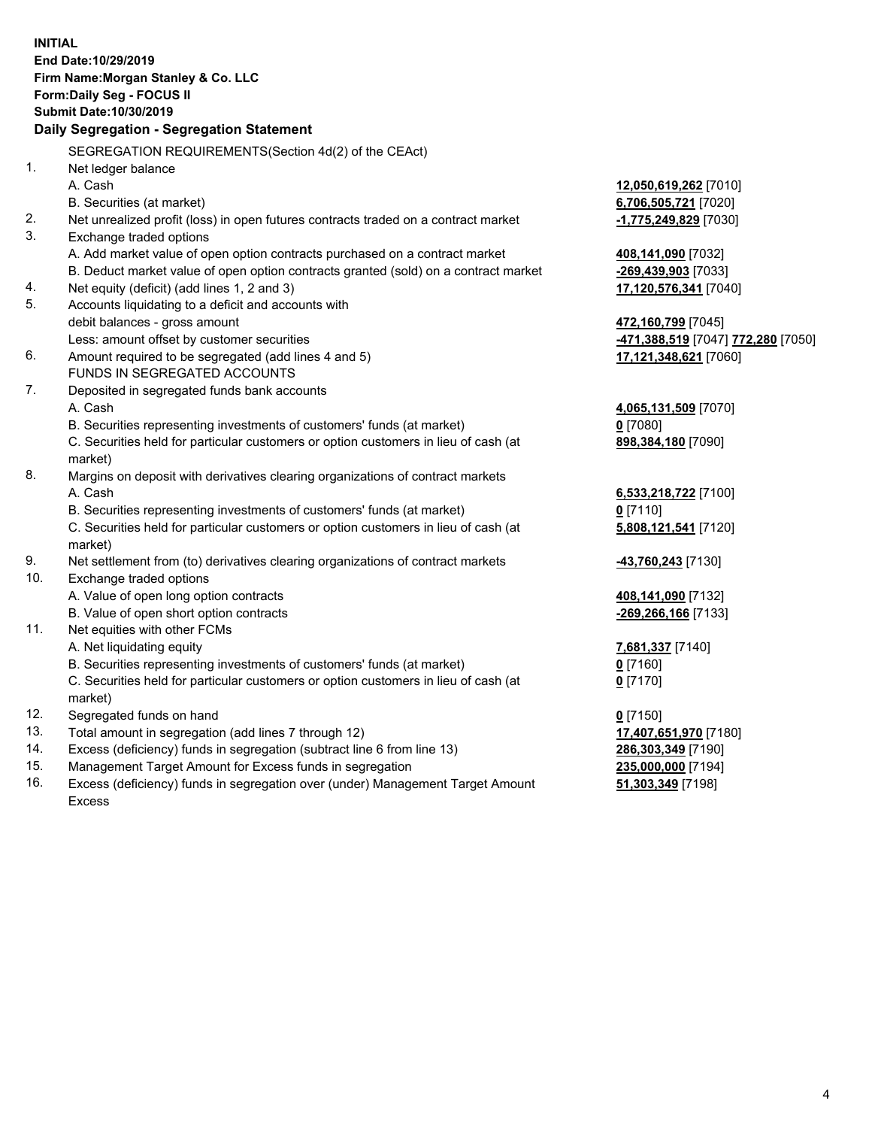|     | <b>INITIAL</b><br>End Date:10/29/2019<br>Firm Name: Morgan Stanley & Co. LLC<br>Form: Daily Seg - FOCUS II<br>Submit Date: 10/30/2019<br>Daily Segregation - Segregation Statement |                                                              |
|-----|------------------------------------------------------------------------------------------------------------------------------------------------------------------------------------|--------------------------------------------------------------|
|     | SEGREGATION REQUIREMENTS(Section 4d(2) of the CEAct)                                                                                                                               |                                                              |
| 1.  | Net ledger balance                                                                                                                                                                 |                                                              |
|     | A. Cash                                                                                                                                                                            | 12,050,619,262 [7010]                                        |
|     | B. Securities (at market)                                                                                                                                                          | 6,706,505,721 [7020]                                         |
| 2.  | Net unrealized profit (loss) in open futures contracts traded on a contract market                                                                                                 | -1,775,249,829 [7030]                                        |
| 3.  | Exchange traded options                                                                                                                                                            |                                                              |
|     | A. Add market value of open option contracts purchased on a contract market                                                                                                        | 408,141,090 [7032]                                           |
|     | B. Deduct market value of open option contracts granted (sold) on a contract market                                                                                                | -269,439,903 [7033]                                          |
| 4.  | Net equity (deficit) (add lines 1, 2 and 3)                                                                                                                                        | 17,120,576,341 [7040]                                        |
| 5.  | Accounts liquidating to a deficit and accounts with                                                                                                                                |                                                              |
|     | debit balances - gross amount                                                                                                                                                      | 472,160,799 [7045]                                           |
|     | Less: amount offset by customer securities                                                                                                                                         | <mark>-471,388,519</mark> [7047] <mark>772,280</mark> [7050] |
| 6.  | Amount required to be segregated (add lines 4 and 5)                                                                                                                               | 17,121,348,621 [7060]                                        |
|     | FUNDS IN SEGREGATED ACCOUNTS                                                                                                                                                       |                                                              |
| 7.  | Deposited in segregated funds bank accounts                                                                                                                                        |                                                              |
|     | A. Cash                                                                                                                                                                            | 4,065,131,509 [7070]                                         |
|     | B. Securities representing investments of customers' funds (at market)                                                                                                             | $0$ [7080]                                                   |
|     | C. Securities held for particular customers or option customers in lieu of cash (at                                                                                                | 898,384,180 [7090]                                           |
|     | market)                                                                                                                                                                            |                                                              |
| 8.  | Margins on deposit with derivatives clearing organizations of contract markets                                                                                                     |                                                              |
|     | A. Cash                                                                                                                                                                            | 6,533,218,722 [7100]                                         |
|     | B. Securities representing investments of customers' funds (at market)                                                                                                             | $0$ [7110]                                                   |
|     | C. Securities held for particular customers or option customers in lieu of cash (at<br>market)                                                                                     | 5,808,121,541 [7120]                                         |
| 9.  | Net settlement from (to) derivatives clearing organizations of contract markets                                                                                                    | -43,760,243 [7130]                                           |
| 10. | Exchange traded options                                                                                                                                                            |                                                              |
|     | A. Value of open long option contracts                                                                                                                                             | 408,141,090 [7132]                                           |
|     | B. Value of open short option contracts                                                                                                                                            | -269,266,166 [7133]                                          |
| 11. | Net equities with other FCMs                                                                                                                                                       |                                                              |
|     | A. Net liquidating equity                                                                                                                                                          | 7,681,337 [7140]                                             |
|     | B. Securities representing investments of customers' funds (at market)                                                                                                             | 0 [7160]                                                     |
|     | C. Securities held for particular customers or option customers in lieu of cash (at<br>market)                                                                                     | $0$ [7170]                                                   |
| 12. | Segregated funds on hand                                                                                                                                                           | $0$ [7150]                                                   |
| 13. | Total amount in segregation (add lines 7 through 12)                                                                                                                               | 17,407,651,970 [7180]                                        |
| 14. | Excess (deficiency) funds in segregation (subtract line 6 from line 13)                                                                                                            | 286,303,349 [7190]                                           |
| 15. | Management Target Amount for Excess funds in segregation                                                                                                                           | 235,000,000 [7194]                                           |
| 16. | Excess (deficiency) funds in segregation over (under) Management Target Amount                                                                                                     | 51,303,349 [7198]                                            |

Excess